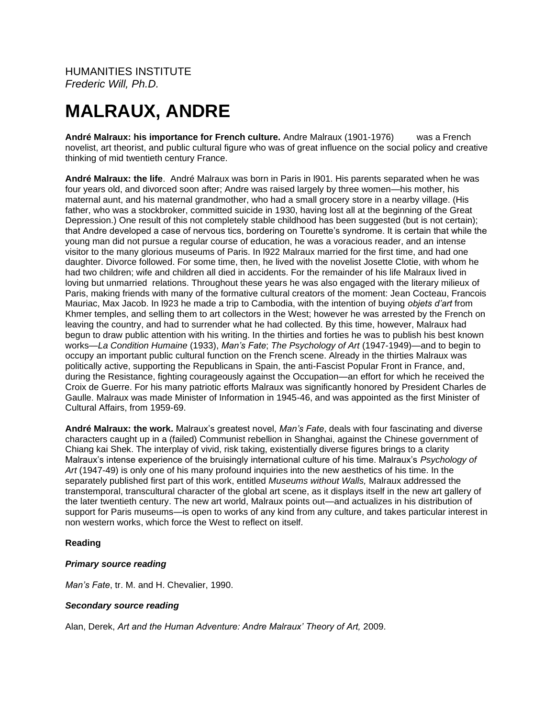HUMANITIES INSTITUTE *Frederic Will, Ph.D.*

# **MALRAUX, ANDRE**

**André Malraux: his importance for French culture.** Andre Malraux (1901-1976) was a French novelist, art theorist, and public cultural figure who was of great influence on the social policy and creative thinking of mid twentieth century France.

**André Malraux: the life**. André Malraux was born in Paris in l901. His parents separated when he was four years old, and divorced soon after; Andre was raised largely by three women—his mother, his maternal aunt, and his maternal grandmother, who had a small grocery store in a nearby village. (His father, who was a stockbroker, committed suicide in 1930, having lost all at the beginning of the Great Depression.) One result of this not completely stable childhood has been suggested (but is not certain); that Andre developed a case of nervous tics, bordering on Tourette's syndrome. It is certain that while the young man did not pursue a regular course of education, he was a voracious reader, and an intense visitor to the many glorious museums of Paris. In l922 Malraux married for the first time, and had one daughter. Divorce followed. For some time, then, he lived with the novelist Josette Clotie, with whom he had two children; wife and children all died in accidents. For the remainder of his life Malraux lived in loving but unmarried relations. Throughout these years he was also engaged with the literary milieux of Paris, making friends with many of the formative cultural creators of the moment: Jean Cocteau, Francois Mauriac, Max Jacob. In l923 he made a trip to Cambodia, with the intention of buying *objets d'art* from Khmer temples, and selling them to art collectors in the West; however he was arrested by the French on leaving the country, and had to surrender what he had collected. By this time, however, Malraux had begun to draw public attention with his writing. In the thirties and forties he was to publish his best known works—*La Condition Humaine* (1933), *Man's Fate*; *The Psychology of Art* (1947-1949)—and to begin to occupy an important public cultural function on the French scene. Already in the thirties Malraux was politically active, supporting the Republicans in Spain, the anti-Fascist Popular Front in France, and, during the Resistance, fighting courageously against the Occupation—an effort for which he received the Croix de Guerre. For his many patriotic efforts Malraux was significantly honored by President Charles de Gaulle. Malraux was made Minister of Information in 1945-46, and was appointed as the first Minister of Cultural Affairs, from 1959-69.

**André Malraux: the work.** Malraux's greatest novel, *Man's Fate*, deals with four fascinating and diverse characters caught up in a (failed) Communist rebellion in Shanghai, against the Chinese government of Chiang kai Shek. The interplay of vivid, risk taking, existentially diverse figures brings to a clarity Malraux's intense experience of the bruisingly international culture of his time. Malraux's *Psychology of Art* (1947-49) is only one of his many profound inquiries into the new aesthetics of his time. In the separately published first part of this work, entitled *Museums without Walls,* Malraux addressed the transtemporal, transcultural character of the global art scene, as it displays itself in the new art gallery of the later twentieth century. The new art world, Malraux points out—and actualizes in his distribution of support for Paris museums—is open to works of any kind from any culture, and takes particular interest in non western works, which force the West to reflect on itself.

### **Reading**

### *Primary source reading*

*Man's Fate*, tr. M. and H. Chevalier, 1990.

### *Secondary source reading*

Alan, Derek, *Art and the Human Adventure: Andre Malraux' Theory of Art,* 2009.